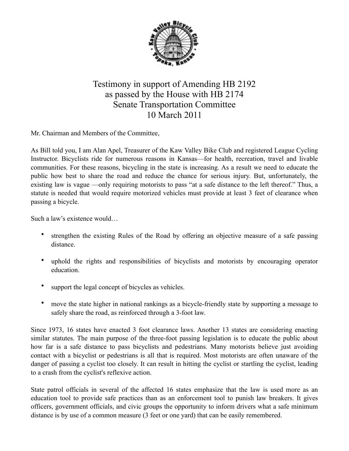

## Testimony in support of Amending HB 2192 as passed by the House with HB 2174 Senate Transportation Committee 10 March 2011

Mr. Chairman and Members of the Committee,

As Bill told you, I am Alan Apel, Treasurer of the Kaw Valley Bike Club and registered League Cycling Instructor. Bicyclists ride for numerous reasons in Kansas—for health, recreation, travel and livable communities. For these reasons, bicycling in the state is increasing. As a result we need to educate the public how best to share the road and reduce the chance for serious injury. But, unfortunately, the existing law is vague —only requiring motorists to pass "at a safe distance to the left thereof." Thus, a statute is needed that would require motorized vehicles must provide at least 3 feet of clearance when passing a bicycle.

Such a law's existence would…

- strengthen the existing Rules of the Road by offering an objective measure of a safe passing distance.
- uphold the rights and responsibilities of bicyclists and motorists by encouraging operator education.
- support the legal concept of bicycles as vehicles.
- move the state higher in national rankings as a bicycle-friendly state by supporting a message to safely share the road, as reinforced through a 3-foot law.

Since 1973, 16 states have enacted 3 foot clearance laws. Another 13 states are considering enacting similar statutes. The main purpose of the three-foot passing legislation is to educate the public about how far is a safe distance to pass bicyclists and pedestrians. Many motorists believe just avoiding contact with a bicyclist or pedestrians is all that is required. Most motorists are often unaware of the danger of passing a cyclist too closely. It can result in hitting the cyclist or startling the cyclist, leading to a crash from the cyclist's reflexive action.

State patrol officials in several of the affected 16 states emphasize that the law is used more as an education tool to provide safe practices than as an enforcement tool to punish law breakers. It gives officers, government officials, and civic groups the opportunity to inform drivers what a safe minimum distance is by use of a common measure (3 feet or one yard) that can be easily remembered.